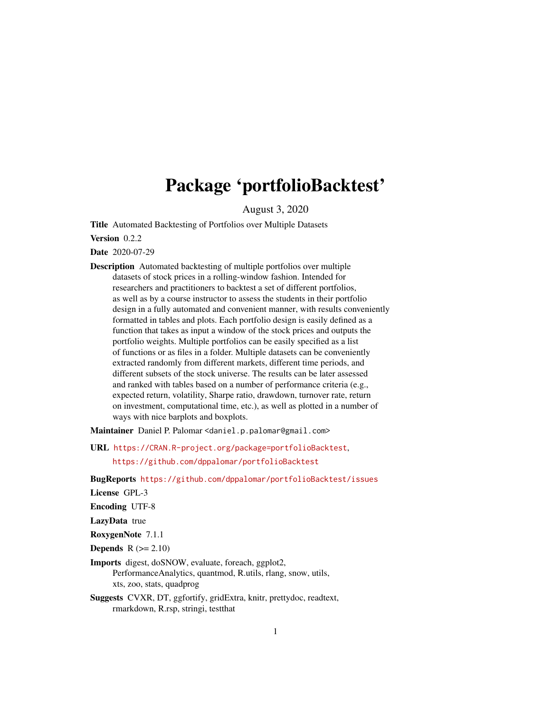## Package 'portfolioBacktest'

August 3, 2020

<span id="page-0-0"></span>Title Automated Backtesting of Portfolios over Multiple Datasets

Version 0.2.2

Date 2020-07-29

Description Automated backtesting of multiple portfolios over multiple datasets of stock prices in a rolling-window fashion. Intended for researchers and practitioners to backtest a set of different portfolios, as well as by a course instructor to assess the students in their portfolio design in a fully automated and convenient manner, with results conveniently formatted in tables and plots. Each portfolio design is easily defined as a function that takes as input a window of the stock prices and outputs the portfolio weights. Multiple portfolios can be easily specified as a list of functions or as files in a folder. Multiple datasets can be conveniently extracted randomly from different markets, different time periods, and different subsets of the stock universe. The results can be later assessed and ranked with tables based on a number of performance criteria (e.g., expected return, volatility, Sharpe ratio, drawdown, turnover rate, return on investment, computational time, etc.), as well as plotted in a number of ways with nice barplots and boxplots.

Maintainer Daniel P. Palomar <daniel.p.palomar@gmail.com>

URL <https://CRAN.R-project.org/package=portfolioBacktest>,

<https://github.com/dppalomar/portfolioBacktest>

BugReports <https://github.com/dppalomar/portfolioBacktest/issues>

License GPL-3

Encoding UTF-8

LazyData true

RoxygenNote 7.1.1

Depends  $R (= 2.10)$ 

- Imports digest, doSNOW, evaluate, foreach, ggplot2, PerformanceAnalytics, quantmod, R.utils, rlang, snow, utils, xts, zoo, stats, quadprog
- Suggests CVXR, DT, ggfortify, gridExtra, knitr, prettydoc, readtext, rmarkdown, R.rsp, stringi, testthat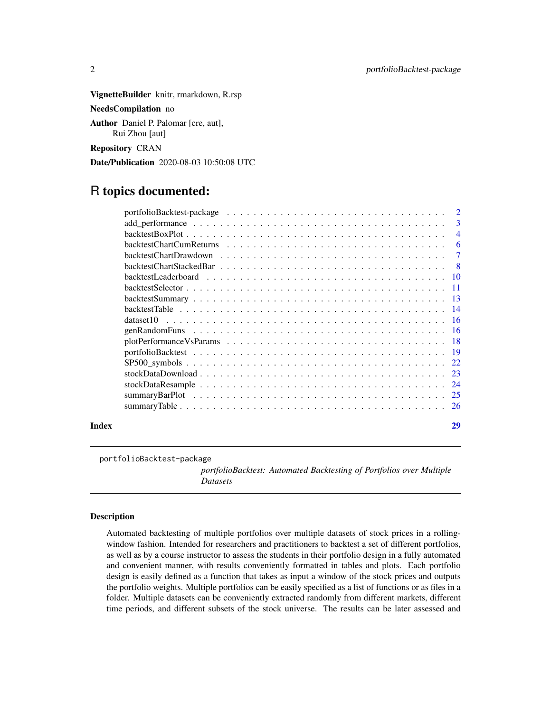<span id="page-1-0"></span>VignetteBuilder knitr, rmarkdown, R.rsp NeedsCompilation no

Author Daniel P. Palomar [cre, aut], Rui Zhou [aut]

Repository CRAN

Date/Publication 2020-08-03 10:50:08 UTC

## R topics documented:

|       |    | 3              |
|-------|----|----------------|
|       |    | $\overline{4}$ |
|       |    | -6             |
|       |    | $\tau$         |
|       |    |                |
|       |    |                |
|       |    |                |
|       |    |                |
|       |    |                |
|       |    |                |
|       |    |                |
|       |    |                |
|       |    |                |
|       |    |                |
|       |    |                |
|       |    |                |
|       |    |                |
|       |    |                |
| Index | 29 |                |

portfolioBacktest-package

*portfolioBacktest: Automated Backtesting of Portfolios over Multiple Datasets*

#### Description

Automated backtesting of multiple portfolios over multiple datasets of stock prices in a rollingwindow fashion. Intended for researchers and practitioners to backtest a set of different portfolios, as well as by a course instructor to assess the students in their portfolio design in a fully automated and convenient manner, with results conveniently formatted in tables and plots. Each portfolio design is easily defined as a function that takes as input a window of the stock prices and outputs the portfolio weights. Multiple portfolios can be easily specified as a list of functions or as files in a folder. Multiple datasets can be conveniently extracted randomly from different markets, different time periods, and different subsets of the stock universe. The results can be later assessed and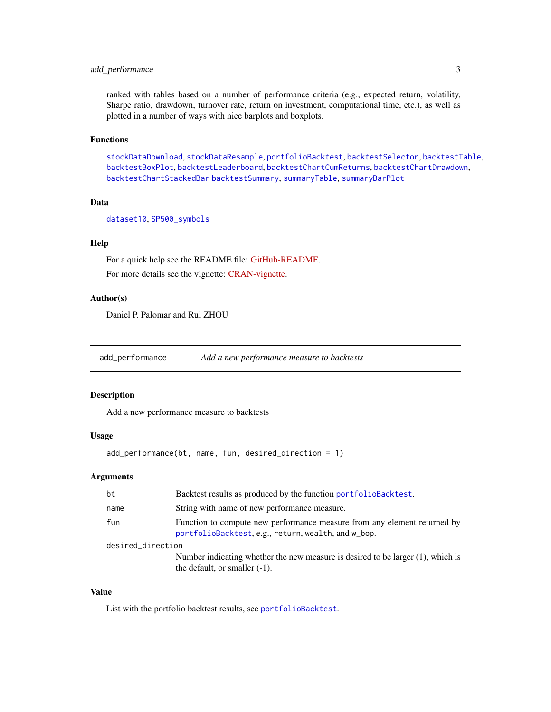## <span id="page-2-0"></span>add\_performance 3

ranked with tables based on a number of performance criteria (e.g., expected return, volatility, Sharpe ratio, drawdown, turnover rate, return on investment, computational time, etc.), as well as plotted in a number of ways with nice barplots and boxplots.

## Functions

[stockDataDownload](#page-22-1), [stockDataResample](#page-23-1), [portfolioBacktest](#page-18-1), [backtestSelector](#page-10-1), [backtestTable](#page-13-1), [backtestBoxPlot](#page-3-1), [backtestLeaderboard](#page-9-1), [backtestChartCumReturns](#page-5-1), [backtestChartDrawdown](#page-6-1), [backtestChartStackedBar](#page-7-1) [backtestSummary](#page-12-1), [summaryTable](#page-25-1), [summaryBarPlot](#page-24-1)

## Data

[dataset10](#page-15-1), [SP500\\_symbols](#page-21-1)

## Help

For a quick help see the README file: [GitHub-README.](https://github.com/dppalomar/portfolioBacktest/blob/master/README.md) For more details see the vignette: [CRAN-vignette.](https://CRAN.R-project.org/package=portfolioBacktest/vignettes/PortfolioBacktest.html)

## Author(s)

Daniel P. Palomar and Rui ZHOU

add\_performance *Add a new performance measure to backtests*

## Description

Add a new performance measure to backtests

#### Usage

```
add_performance(bt, name, fun, desired_direction = 1)
```
#### Arguments

| bt                | Backtest results as produced by the function portfolioBacktest.                                                                 |
|-------------------|---------------------------------------------------------------------------------------------------------------------------------|
| name              | String with name of new performance measure.                                                                                    |
| fun               | Function to compute new performance measure from any element returned by<br>portfolioBacktest, e.g., return, wealth, and w_bop. |
| desired_direction |                                                                                                                                 |
|                   | Number indicating whether the new measure is desired to be larger (1), which is<br>the default, or smaller $(-1)$ .             |

## Value

List with the portfolio backtest results, see [portfolioBacktest](#page-18-1).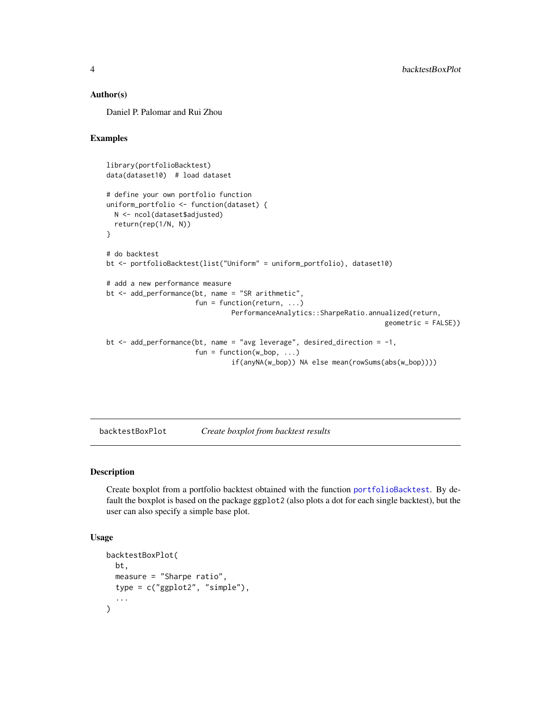#### <span id="page-3-0"></span>Author(s)

Daniel P. Palomar and Rui Zhou

## Examples

```
library(portfolioBacktest)
data(dataset10) # load dataset
# define your own portfolio function
uniform_portfolio <- function(dataset) {
  N <- ncol(dataset$adjusted)
  return(rep(1/N, N))
}
# do backtest
bt <- portfolioBacktest(list("Uniform" = uniform_portfolio), dataset10)
# add a new performance measure
bt <- add_performance(bt, name = "SR arithmetic",
                      fun = function(return, \ldots)
                               PerformanceAnalytics::SharpeRatio.annualized(return,
                                                                     geometric = FALSE))
bt <- add_performance(bt, name = "avg leverage", desired_direction = -1,
                      fun = function(w_bop, ...)if(anyNA(w_bop)) NA else mean(rowSums(abs(w_bop))))
```
<span id="page-3-1"></span>backtestBoxPlot *Create boxplot from backtest results*

#### Description

Create boxplot from a portfolio backtest obtained with the function [portfolioBacktest](#page-18-1). By default the boxplot is based on the package ggplot2 (also plots a dot for each single backtest), but the user can also specify a simple base plot.

```
backtestBoxPlot(
 bt,
 measure = "Sharpe ratio",
 type = c("ggplot2", "simple"),
  ...
)
```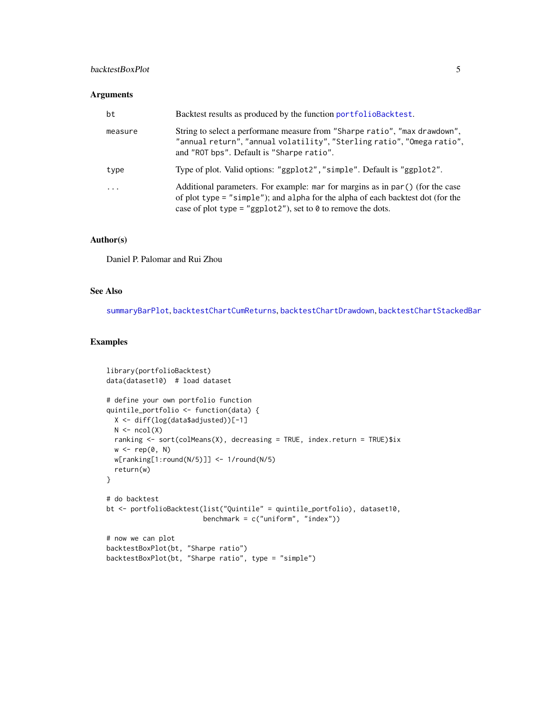## <span id="page-4-0"></span>backtestBoxPlot 5

## Arguments

| bt       | Backtest results as produced by the function portfolioBacktest.                                                                                                                                                                          |
|----------|------------------------------------------------------------------------------------------------------------------------------------------------------------------------------------------------------------------------------------------|
| measure  | String to select a performane measure from "Sharpe ratio", "max drawdown",<br>"annual return", "annual volatility", "Sterling ratio", "Omega ratio",<br>and "ROT bps". Default is "Sharpe ratio".                                        |
| type     | Type of plot. Valid options: "ggplot2", "simple". Default is "ggplot2".                                                                                                                                                                  |
| $\cdots$ | Additional parameters. For example: mar for margins as in par () (for the case<br>of plot type = "simple"); and alpha for the alpha of each backtest dot (for the<br>case of plot type = "ggplot2"), set to $\theta$ to remove the dots. |

#### Author(s)

Daniel P. Palomar and Rui Zhou

## See Also

[summaryBarPlot](#page-24-1), [backtestChartCumReturns](#page-5-1), [backtestChartDrawdown](#page-6-1), [backtestChartStackedBar](#page-7-1)

```
library(portfolioBacktest)
data(dataset10) # load dataset
# define your own portfolio function
quintile_portfolio <- function(data) {
 X <- diff(log(data$adjusted))[-1]
 N \leftarrow \text{ncol}(X)ranking <- sort(colMeans(X), decreasing = TRUE, index.return = TRUE)$ix
  w <- rep(0, N)
  w[ranking[1:round(N/5)]] <- 1/round(N/5)
  return(w)
}
# do backtest
bt <- portfolioBacktest(list("Quintile" = quintile_portfolio), dataset10,
                        benchmark = c("uniform", "index"))
# now we can plot
backtestBoxPlot(bt, "Sharpe ratio")
backtestBoxPlot(bt, "Sharpe ratio", type = "simple")
```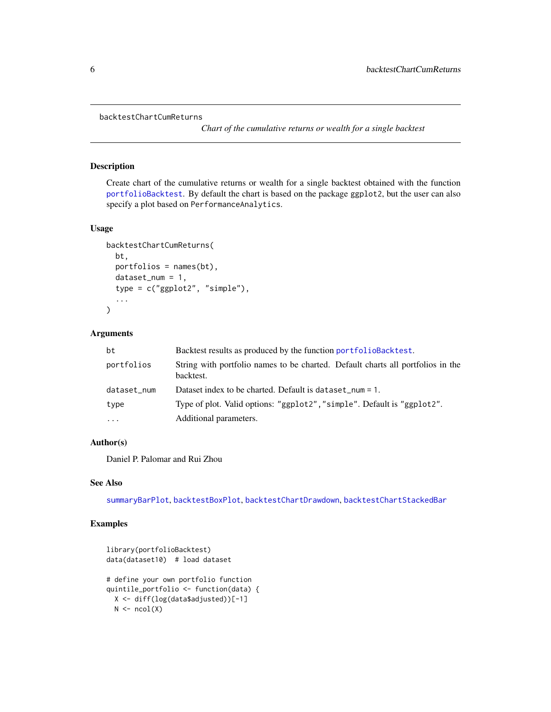```
backtestChartCumReturns
```
*Chart of the cumulative returns or wealth for a single backtest*

#### Description

Create chart of the cumulative returns or wealth for a single backtest obtained with the function [portfolioBacktest](#page-18-1). By default the chart is based on the package ggplot2, but the user can also specify a plot based on PerformanceAnalytics.

## Usage

```
backtestChartCumReturns(
  bt,
  portfolios = names(bt),
  dataset_name = 1,
  type = c("ggplot2", "simple"),
  ...
)
```
## Arguments

| bt          | Backtest results as produced by the function portfolioBacktest.                              |
|-------------|----------------------------------------------------------------------------------------------|
| portfolios  | String with portfolio names to be charted. Default charts all portfolios in the<br>backtest. |
| dataset_num | Dataset index to be charted. Default is dataset_num = $1$ .                                  |
| type        | Type of plot. Valid options: "ggplot2", "simple". Default is "ggplot2".                      |
| $\cdots$    | Additional parameters.                                                                       |

## Author(s)

Daniel P. Palomar and Rui Zhou

## See Also

[summaryBarPlot](#page-24-1), [backtestBoxPlot](#page-3-1), [backtestChartDrawdown](#page-6-1), [backtestChartStackedBar](#page-7-1)

```
library(portfolioBacktest)
data(dataset10) # load dataset
# define your own portfolio function
quintile_portfolio <- function(data) {
 X <- diff(log(data$adjusted))[-1]
 N \leftarrow \text{ncol}(X)
```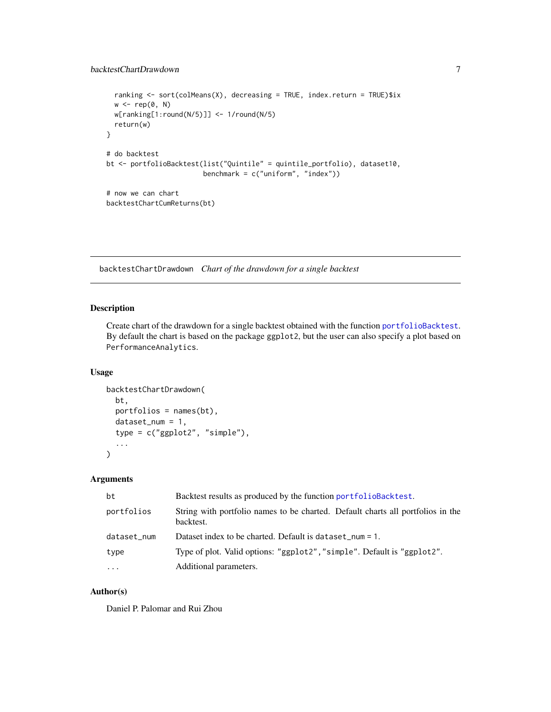```
ranking <- sort(colMeans(X), decreasing = TRUE, index.return = TRUE)$ix
 w \leftarrow rep(0, N)w[ranking[1:round(N/5)]] <- 1/round(N/5)
 return(w)
}
# do backtest
bt <- portfolioBacktest(list("Quintile" = quintile_portfolio), dataset10,
                        benchmark = c("uniform", "index"))
# now we can chart
backtestChartCumReturns(bt)
```
<span id="page-6-1"></span>backtestChartDrawdown *Chart of the drawdown for a single backtest*

### Description

Create chart of the drawdown for a single backtest obtained with the function [portfolioBacktest](#page-18-1). By default the chart is based on the package ggplot2, but the user can also specify a plot based on PerformanceAnalytics.

#### Usage

```
backtestChartDrawdown(
 bt,
 portfolios = names(bt),
  dataset_name = 1,
  type = c("ggplot2", "simple"),
  ...
)
```
## Arguments

| bt          | Backtest results as produced by the function portfolioBacktest.                              |
|-------------|----------------------------------------------------------------------------------------------|
| portfolios  | String with portfolio names to be charted. Default charts all portfolios in the<br>backtest. |
| dataset_num | Dataset index to be charted. Default is dataset_num = $1$ .                                  |
| type        | Type of plot. Valid options: "ggplot2", "simple". Default is "ggplot2".                      |
| $\cdots$    | Additional parameters.                                                                       |

### Author(s)

Daniel P. Palomar and Rui Zhou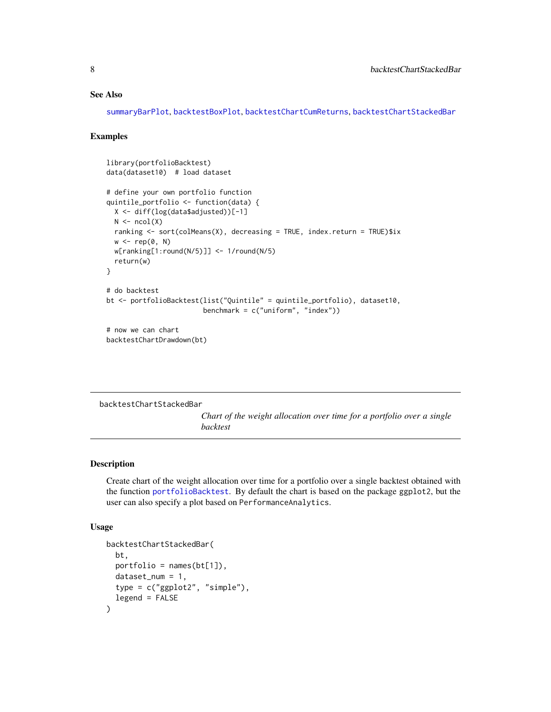#### <span id="page-7-0"></span>See Also

[summaryBarPlot](#page-24-1), [backtestBoxPlot](#page-3-1), [backtestChartCumReturns](#page-5-1), [backtestChartStackedBar](#page-7-1)

#### Examples

```
library(portfolioBacktest)
data(dataset10) # load dataset
# define your own portfolio function
quintile_portfolio <- function(data) {
 X <- diff(log(data$adjusted))[-1]
 N \leftarrow \text{ncol}(X)ranking <- sort(colMeans(X), decreasing = TRUE, index.return = TRUE)$ix
 w \leftarrow rep(0, N)w[ranking[1:round(N/5)]] <- 1/round(N/5)
 return(w)
}
# do backtest
bt <- portfolioBacktest(list("Quintile" = quintile_portfolio), dataset10,
                         benchmark = c("uniform", "index"))
# now we can chart
```
backtestChartDrawdown(bt)

<span id="page-7-1"></span>backtestChartStackedBar

*Chart of the weight allocation over time for a portfolio over a single backtest*

#### Description

Create chart of the weight allocation over time for a portfolio over a single backtest obtained with the function [portfolioBacktest](#page-18-1). By default the chart is based on the package ggplot2, but the user can also specify a plot based on PerformanceAnalytics.

```
backtestChartStackedBar(
 bt,
 portfolio = names(bt[1]),
  dataset_name = 1,
  type = c("ggplot2", "simple"),
  legend = FALSE
)
```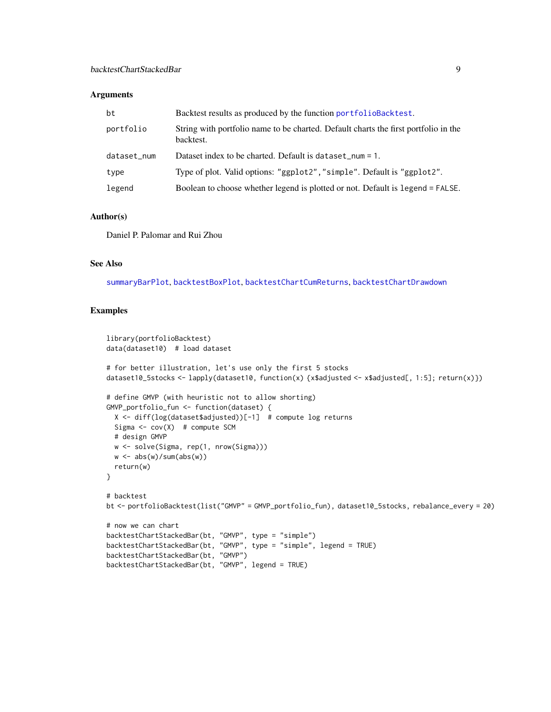#### <span id="page-8-0"></span>**Arguments**

| bt          | Backtest results as produced by the function portfolioBacktest.                                  |
|-------------|--------------------------------------------------------------------------------------------------|
| portfolio   | String with portfolio name to be charted. Default charts the first portfolio in the<br>backtest. |
| dataset_num | Dataset index to be charted. Default is dataset_num = 1.                                         |
| type        | Type of plot. Valid options: "ggplot2", "simple". Default is "ggplot2".                          |
| legend      | Boolean to choose whether legend is plotted or not. Default is legend = FALSE.                   |

## Author(s)

Daniel P. Palomar and Rui Zhou

## See Also

[summaryBarPlot](#page-24-1), [backtestBoxPlot](#page-3-1), [backtestChartCumReturns](#page-5-1), [backtestChartDrawdown](#page-6-1)

```
library(portfolioBacktest)
data(dataset10) # load dataset
# for better illustration, let's use only the first 5 stocks
dataset10_5stocks <- lapply(dataset10, function(x) {x$adjusted <- x$adjusted[, 1:5]; return(x)})
# define GMVP (with heuristic not to allow shorting)
GMVP_portfolio_fun <- function(dataset) {
  X <- diff(log(dataset$adjusted))[-1] # compute log returns
  Sigma \leq cov(X) # compute SCM
  # design GMVP
  w <- solve(Sigma, rep(1, nrow(Sigma)))
  w \leftarrow abs(w)/sum(abs(w))return(w)
}
# backtest
bt <- portfolioBacktest(list("GMVP" = GMVP_portfolio_fun), dataset10_5stocks, rebalance_every = 20)
# now we can chart
backtestChartStackedBar(bt, "GMVP", type = "simple")
backtestChartStackedBar(bt, "GMVP", type = "simple", legend = TRUE)
backtestChartStackedBar(bt, "GMVP")
backtestChartStackedBar(bt, "GMVP", legend = TRUE)
```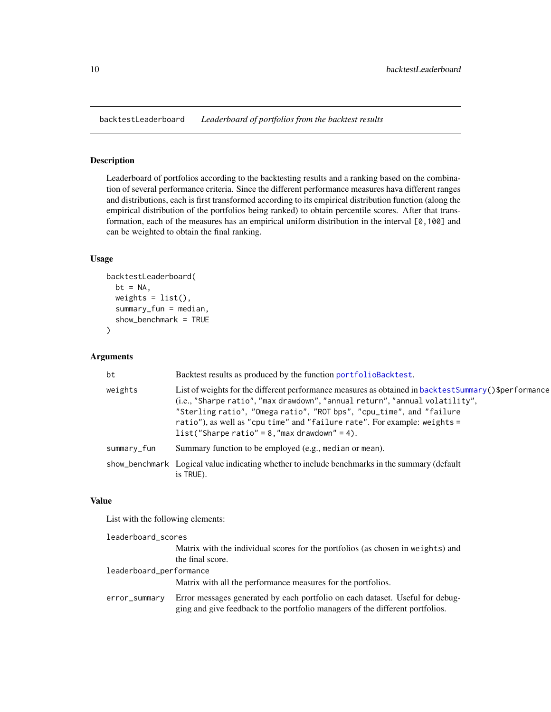<span id="page-9-1"></span><span id="page-9-0"></span>backtestLeaderboard *Leaderboard of portfolios from the backtest results*

## Description

Leaderboard of portfolios according to the backtesting results and a ranking based on the combination of several performance criteria. Since the different performance measures hava different ranges and distributions, each is first transformed according to its empirical distribution function (along the empirical distribution of the portfolios being ranked) to obtain percentile scores. After that transformation, each of the measures has an empirical uniform distribution in the interval [0,100] and can be weighted to obtain the final ranking.

#### Usage

```
backtestLeaderboard(
  bt = NA,
  weights = list(),
  summary_fun = median,
  show_benchmark = TRUE
)
```
#### Arguments

| bt          | Backtest results as produced by the function portfolioBacktest.                                                                                                                                                                                                                                                                                                                             |
|-------------|---------------------------------------------------------------------------------------------------------------------------------------------------------------------------------------------------------------------------------------------------------------------------------------------------------------------------------------------------------------------------------------------|
| weights     | List of weights for the different performance measures as obtained in backtest Summary () \$performance<br>(i.e., "Sharpe ratio", "max drawdown", "annual return", "annual volatility",<br>"Sterling ratio", "Omega ratio", "ROT bps", "cpu_time", and "failure<br>ratio"), as well as "cpu time" and "failure rate". For example: weights =<br>$list("Share ratio" = 8," max drawn" = 4).$ |
| summary_fun | Summary function to be employed (e.g., median or mean).                                                                                                                                                                                                                                                                                                                                     |
|             | show_benchmark Logical value indicating whether to include benchmarks in the summary (default<br>is TRUE).                                                                                                                                                                                                                                                                                  |

#### Value

List with the following elements:

| leaderboard_scores      |                                                                                                                                                                |  |
|-------------------------|----------------------------------------------------------------------------------------------------------------------------------------------------------------|--|
|                         | Matrix with the individual scores for the portfolios (as chosen in weights) and<br>the final score.                                                            |  |
| leaderboard_performance |                                                                                                                                                                |  |
|                         | Matrix with all the performance measures for the portfolios.                                                                                                   |  |
| error_summary           | Error messages generated by each portfolio on each dataset. Useful for debug-<br>ging and give feedback to the portfolio managers of the different portfolios. |  |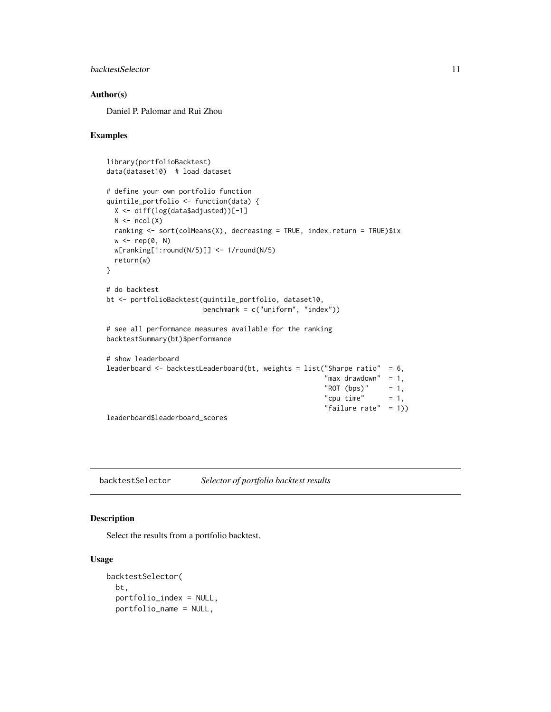## <span id="page-10-0"></span>backtestSelector 11

#### Author(s)

Daniel P. Palomar and Rui Zhou

#### Examples

```
library(portfolioBacktest)
data(dataset10) # load dataset
# define your own portfolio function
quintile_portfolio <- function(data) {
  X <- diff(log(data$adjusted))[-1]
  N \leftarrow \text{ncol}(X)ranking <- sort(colMeans(X), decreasing = TRUE, index.return = TRUE)$ix
  w <- rep(0, N)
  w[ranking[1:round(N/5)]] <- 1/round(N/5)
  return(w)
}
# do backtest
bt <- portfolioBacktest(quintile_portfolio, dataset10,
                        benchmark = c("uniform", "index"))
# see all performance measures available for the ranking
backtestSummary(bt)$performance
# show leaderboard
leaderboard <- backtestLeaderboard(bt, weights = list("Sharpe ratio" = 6,
                                                       "max drawdown" = 1,
                                                       "ROT (bps)" = 1,
                                                       "cpu time" = 1,
                                                       "failure rate" = 1))
leaderboard$leaderboard_scores
```
<span id="page-10-1"></span>backtestSelector *Selector of portfolio backtest results*

#### Description

Select the results from a portfolio backtest.

```
backtestSelector(
 bt,
 portfolio_index = NULL,
 portfolio_name = NULL,
```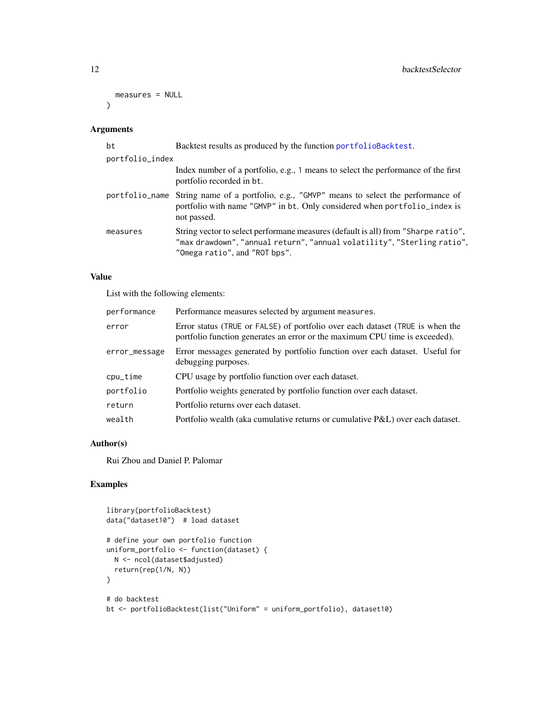```
measures = NULL
\lambda
```
## Arguments

| bt              | Backtest results as produced by the function portfolioBacktest.                                                                                                                               |
|-----------------|-----------------------------------------------------------------------------------------------------------------------------------------------------------------------------------------------|
| portfolio_index |                                                                                                                                                                                               |
|                 | Index number of a portfolio, e.g., 1 means to select the performance of the first<br>portfolio recorded in bt.                                                                                |
|                 | portfolio_name String name of a portfolio, e.g., "GMVP" means to select the performance of<br>portfolio with name "GMVP" in bt. Only considered when portfolio_index is<br>not passed.        |
| measures        | String vector to select performane measures (default is all) from "Sharpe ratio",<br>"max drawdown", "annual return", "annual volatility", "Sterling ratio",<br>"Omega ratio", and "ROT bps". |

## Value

List with the following elements:

| performance   | Performance measures selected by argument measures.                                                                                                          |
|---------------|--------------------------------------------------------------------------------------------------------------------------------------------------------------|
| error         | Error status (TRUE or FALSE) of portfolio over each dataset (TRUE is when the<br>portfolio function generates an error or the maximum CPU time is exceeded). |
| error_message | Error messages generated by portfolio function over each dataset. Useful for<br>debugging purposes.                                                          |
| cpu_time      | CPU usage by portfolio function over each dataset.                                                                                                           |
| portfolio     | Portfolio weights generated by portfolio function over each dataset.                                                                                         |
| return        | Portfolio returns over each dataset.                                                                                                                         |
| wealth        | Portfolio wealth (aka cumulative returns or cumulative P&L) over each dataset.                                                                               |

## Author(s)

Rui Zhou and Daniel P. Palomar

```
library(portfolioBacktest)
data("dataset10") # load dataset
# define your own portfolio function
uniform_portfolio <- function(dataset) {
  N <- ncol(dataset$adjusted)
  return(rep(1/N, N))
}
# do backtest
bt <- portfolioBacktest(list("Uniform" = uniform_portfolio), dataset10)
```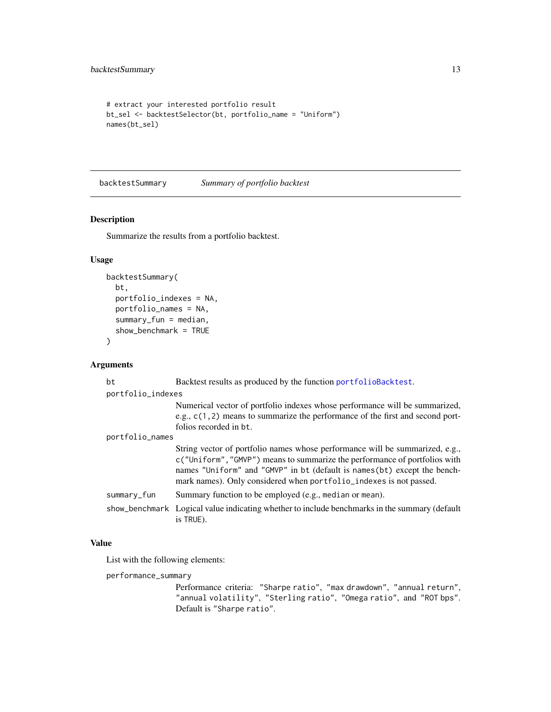```
# extract your interested portfolio result
bt_sel <- backtestSelector(bt, portfolio_name = "Uniform")
names(bt_sel)
```
<span id="page-12-1"></span>backtestSummary *Summary of portfolio backtest*

### Description

Summarize the results from a portfolio backtest.

## Usage

```
backtestSummary(
  bt,
  portfolio_indexes = NA,
  portfolio_names = NA,
  summary_fun = median,
  show_benchmark = TRUE
\mathcal{L}
```
#### Arguments

| bt              | Backtest results as produced by the function portfolioBacktest.                                                                                                                                                                                                                                               |  |  |
|-----------------|---------------------------------------------------------------------------------------------------------------------------------------------------------------------------------------------------------------------------------------------------------------------------------------------------------------|--|--|
|                 | portfolio_indexes                                                                                                                                                                                                                                                                                             |  |  |
|                 | Numerical vector of portfolio indexes whose performance will be summarized,<br>e.g., $c(1, 2)$ means to summarize the performance of the first and second port-<br>folios recorded in bt.                                                                                                                     |  |  |
| portfolio_names |                                                                                                                                                                                                                                                                                                               |  |  |
|                 | String vector of portfolio names whose performance will be summarized, e.g.,<br>c ("Uniform", "GMVP") means to summarize the performance of portfolios with<br>names "Uniform" and "GMVP" in bt (default is names(bt) except the bench-<br>mark names). Only considered when portfolio_indexes is not passed. |  |  |
| summary_fun     | Summary function to be employed (e.g., median or mean).                                                                                                                                                                                                                                                       |  |  |
|                 | show_benchmark Logical value indicating whether to include benchmarks in the summary (default<br>is TRUE).                                                                                                                                                                                                    |  |  |

## Value

List with the following elements:

performance\_summary

Performance criteria: "Sharpe ratio", "max drawdown", "annual return", "annual volatility", "Sterling ratio", "Omega ratio", and "ROT bps". Default is "Sharpe ratio".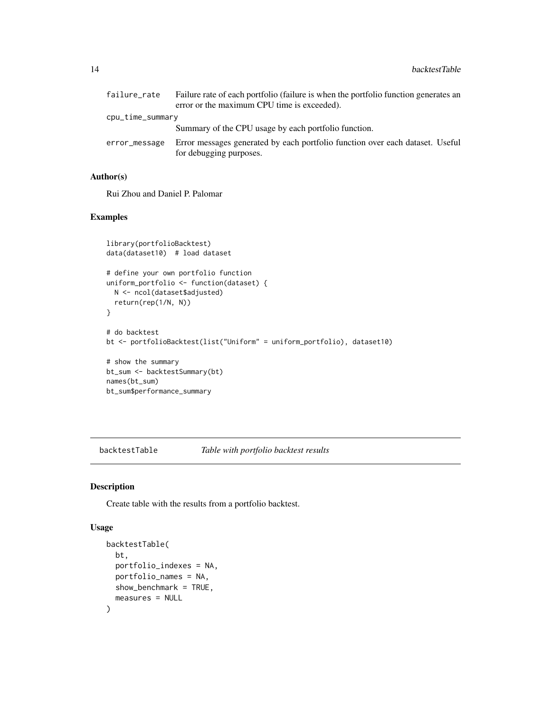<span id="page-13-0"></span>

| failure_rate     | Failure rate of each portfolio (failure is when the portfolio function generates an |
|------------------|-------------------------------------------------------------------------------------|
|                  | error or the maximum CPU time is exceeded).                                         |
| cpu_time_summary |                                                                                     |
|                  | Summary of the CPU usage by each portfolio function.                                |
| error_message    | Error messages generated by each portfolio function over each dataset. Useful       |
|                  | for debugging purposes.                                                             |

## Author(s)

Rui Zhou and Daniel P. Palomar

## Examples

```
library(portfolioBacktest)
data(dataset10) # load dataset
# define your own portfolio function
uniform_portfolio <- function(dataset) {
  N <- ncol(dataset$adjusted)
  return(rep(1/N, N))
}
# do backtest
bt <- portfolioBacktest(list("Uniform" = uniform_portfolio), dataset10)
# show the summary
bt_sum <- backtestSummary(bt)
names(bt_sum)
bt_sum$performance_summary
```
<span id="page-13-1"></span>backtestTable *Table with portfolio backtest results*

## Description

Create table with the results from a portfolio backtest.

```
backtestTable(
 bt,
 portfolio_indexes = NA,
 portfolio_names = NA,
 show_benchmark = TRUE,
 measures = NULL
)
```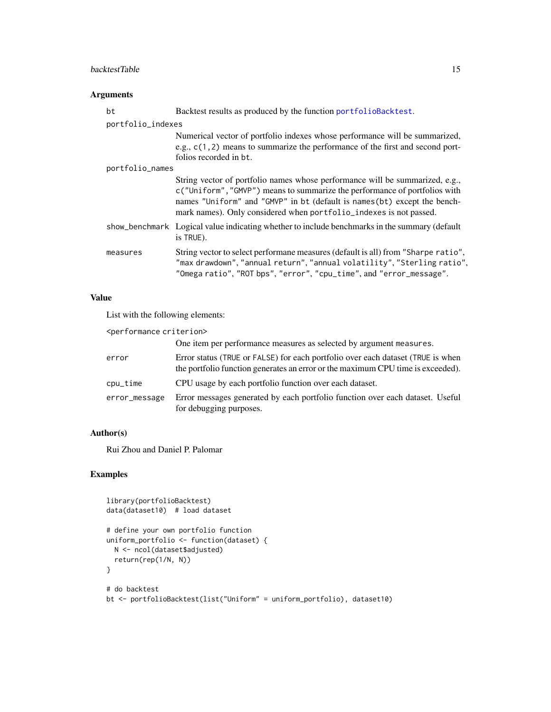## <span id="page-14-0"></span>backtestTable 15

## Arguments

| bt                | Backtest results as produced by the function portfolioBacktest.                                                                                                                                                                                                                                              |
|-------------------|--------------------------------------------------------------------------------------------------------------------------------------------------------------------------------------------------------------------------------------------------------------------------------------------------------------|
| portfolio_indexes |                                                                                                                                                                                                                                                                                                              |
|                   | Numerical vector of portfolio indexes whose performance will be summarized,<br>e.g., $c(1, 2)$ means to summarize the performance of the first and second port-<br>folios recorded in bt.                                                                                                                    |
| portfolio_names   |                                                                                                                                                                                                                                                                                                              |
|                   | String vector of portfolio names whose performance will be summarized, e.g.,<br>c("Uniform", "GMVP") means to summarize the performance of portfolios with<br>names "Uniform" and "GMVP" in bt (default is names(bt) except the bench-<br>mark names). Only considered when portfolio_indexes is not passed. |
|                   | show_benchmark Logical value indicating whether to include benchmarks in the summary (default<br>is TRUE).                                                                                                                                                                                                   |
| measures          | String vector to select performane measures (default is all) from "Sharpe ratio",<br>"max drawdown", "annual return", "annual volatility", "Sterling ratio",<br>"Omega ratio", "ROT bps", "error", "cpu_time", and "error_message".                                                                          |

## Value

List with the following elements:

| <performance criterion=""></performance> |                                                                                                                                                                    |
|------------------------------------------|--------------------------------------------------------------------------------------------------------------------------------------------------------------------|
|                                          | One item per performance measures as selected by argument measures.                                                                                                |
| error                                    | Error status (TRUE or FALSE) for each portfolio over each dataset (TRUE is when<br>the portfolio function generates an error or the maximum CPU time is exceeded). |
| cpu_time                                 | CPU usage by each portfolio function over each dataset.                                                                                                            |
| error_message                            | Error messages generated by each portfolio function over each dataset. Useful<br>for debugging purposes.                                                           |

## Author(s)

Rui Zhou and Daniel P. Palomar

```
library(portfolioBacktest)
data(dataset10) # load dataset
# define your own portfolio function
uniform_portfolio <- function(dataset) {
 N <- ncol(dataset$adjusted)
  return(rep(1/N, N))
}
# do backtest
bt <- portfolioBacktest(list("Uniform" = uniform_portfolio), dataset10)
```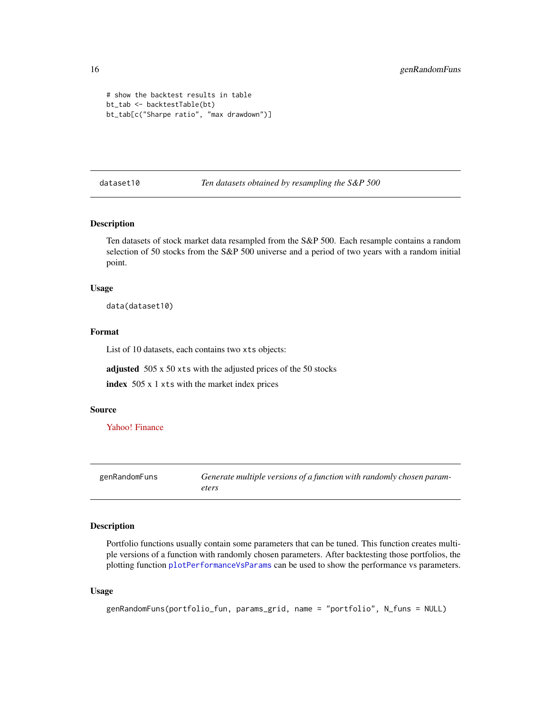```
# show the backtest results in table
bt_tab <- backtestTable(bt)
bt_tab[c("Sharpe ratio", "max drawdown")]
```
<span id="page-15-1"></span>dataset10 *Ten datasets obtained by resampling the S&P 500*

## Description

Ten datasets of stock market data resampled from the S&P 500. Each resample contains a random selection of 50 stocks from the S&P 500 universe and a period of two years with a random initial point.

#### Usage

data(dataset10)

#### Format

List of 10 datasets, each contains two xts objects:

adjusted 505 x 50 xts with the adjusted prices of the 50 stocks

index 505 x 1 xts with the market index prices

#### Source

[Yahoo! Finance](https://finance.yahoo.com)

<span id="page-15-2"></span>genRandomFuns *Generate multiple versions of a function with randomly chosen parameters*

#### Description

Portfolio functions usually contain some parameters that can be tuned. This function creates multiple versions of a function with randomly chosen parameters. After backtesting those portfolios, the plotting function [plotPerformanceVsParams](#page-17-1) can be used to show the performance vs parameters.

```
genRandomFuns(portfolio_fun, params_grid, name = "portfolio", N_funs = NULL)
```
<span id="page-15-0"></span>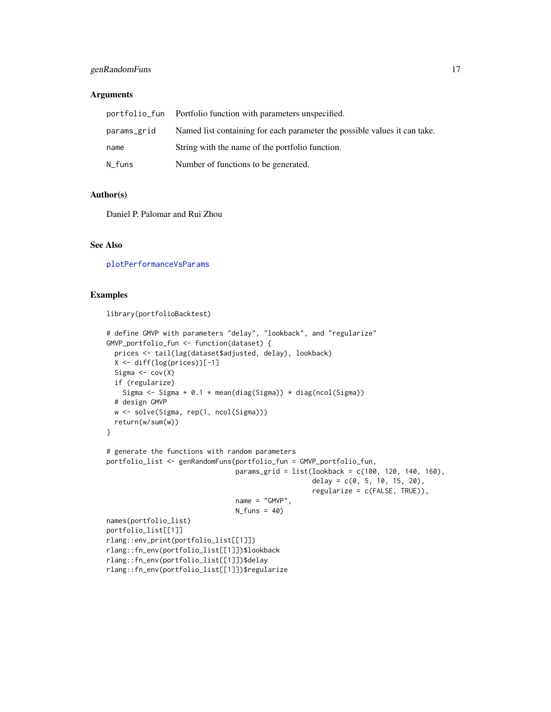## <span id="page-16-0"></span>genRandomFuns 17

#### **Arguments**

|             | portfolio_fun Portfolio function with parameters unspecified.             |
|-------------|---------------------------------------------------------------------------|
| params_grid | Named list containing for each parameter the possible values it can take. |
| name        | String with the name of the portfolio function.                           |
| N_funs      | Number of functions to be generated.                                      |

## Author(s)

Daniel P. Palomar and Rui Zhou

## See Also

[plotPerformanceVsParams](#page-17-1)

#### Examples

library(portfolioBacktest)

```
# define GMVP with parameters "delay", "lookback", and "regularize"
GMVP_portfolio_fun <- function(dataset) {
  prices <- tail(lag(dataset$adjusted, delay), lookback)
  X \leftarrow diff(log(prices))[-1]Sigma \leq cov(X)
  if (regularize)
   Sigma <- Sigma + 0.1 * mean(diag(Sigma)) * diag(ncol(Sigma))
  # design GMVP
  w <- solve(Sigma, rep(1, ncol(Sigma)))
  return(w/sum(w))
}
# generate the functions with random parameters
portfolio_list <- genRandomFuns(portfolio_fun = GMVP_portfolio_fun,
                                params_grid = list(lookback = c(100, 120, 140, 160),
                                                    delay = c(0, 5, 10, 15, 20),
                                                    regularize = c(FALSE, TRUE)),
                                name = "GMVP",
                                N_funs = 40names(portfolio_list)
portfolio_list[[1]]
rlang::env_print(portfolio_list[[1]])
rlang::fn_env(portfolio_list[[1]])$lookback
rlang::fn_env(portfolio_list[[1]])$delay
rlang::fn_env(portfolio_list[[1]])$regularize
```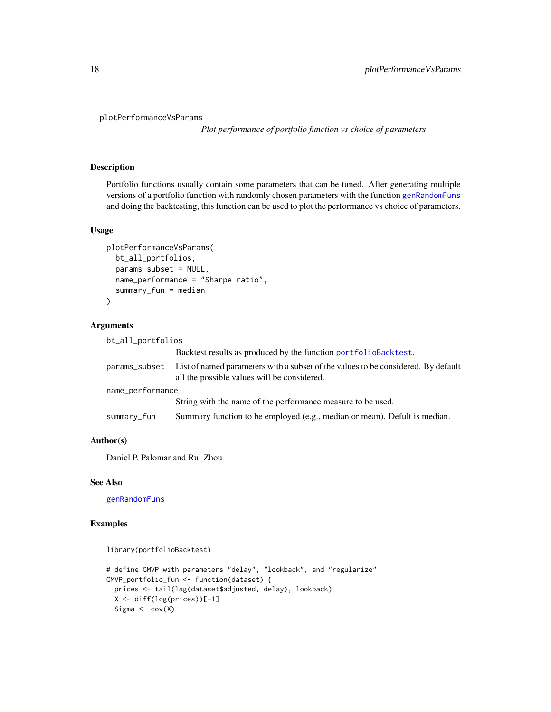```
plotPerformanceVsParams
```
*Plot performance of portfolio function vs choice of parameters*

## Description

Portfolio functions usually contain some parameters that can be tuned. After generating multiple versions of a portfolio function with randomly chosen parameters with the function [genRandomFuns](#page-15-2) and doing the backtesting, this function can be used to plot the performance vs choice of parameters.

#### Usage

```
plotPerformanceVsParams(
 bt_all_portfolios,
 params_subset = NULL,
 name_performance = "Sharpe ratio",
  summary_fun = median
\lambda
```
## Arguments

| bt_all_portfolios |                                                                                                                                  |
|-------------------|----------------------------------------------------------------------------------------------------------------------------------|
|                   | Backtest results as produced by the function portfolioBacktest.                                                                  |
| params_subset     | List of named parameters with a subset of the values to be considered. By default<br>all the possible values will be considered. |
| name_performance  |                                                                                                                                  |
|                   | String with the name of the performance measure to be used.                                                                      |
| summary_fun       | Summary function to be employed (e.g., median or mean). Defult is median.                                                        |

#### Author(s)

Daniel P. Palomar and Rui Zhou

## See Also

[genRandomFuns](#page-15-2)

```
library(portfolioBacktest)
# define GMVP with parameters "delay", "lookback", and "regularize"
GMVP_portfolio_fun <- function(dataset) {
  prices <- tail(lag(dataset$adjusted, delay), lookback)
  X \leftarrow diff(log(prices))[-1]Sigma \leftarrow cov(X)
```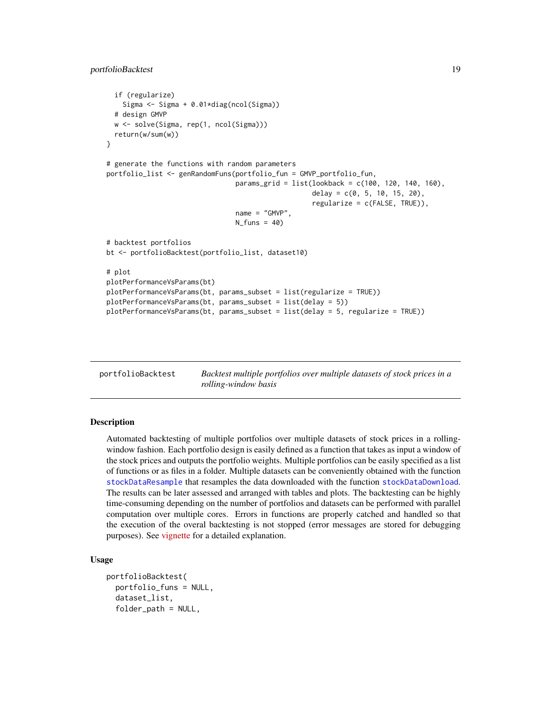```
if (regularize)
    Sigma <- Sigma + 0.01*diag(ncol(Sigma))
 # design GMVP
 w <- solve(Sigma, rep(1, ncol(Sigma)))
 return(w/sum(w))
}
# generate the functions with random parameters
portfolio_list <- genRandomFuns(portfolio_fun = GMVP_portfolio_fun,
                                params_grid = list(lookback = c(100, 120, 140, 160),
                                                   delay = c(0, 5, 10, 15, 20),
                                                   regularize = c(FALSE, TRUE)),
                                name = "GMVP",
                                N_funs = 40# backtest portfolios
bt <- portfolioBacktest(portfolio_list, dataset10)
# plot
plotPerformanceVsParams(bt)
plotPerformanceVsParams(bt, params_subset = list(regularize = TRUE))
plotPerformanceVsParams(bt, params_subset = list(delay = 5))
plotPerformanceVsParams(bt, params_subset = list(delay = 5, regularize = TRUE))
```
<span id="page-18-1"></span>

portfolioBacktest *Backtest multiple portfolios over multiple datasets of stock prices in a rolling-window basis*

#### **Description**

Automated backtesting of multiple portfolios over multiple datasets of stock prices in a rollingwindow fashion. Each portfolio design is easily defined as a function that takes as input a window of the stock prices and outputs the portfolio weights. Multiple portfolios can be easily specified as a list of functions or as files in a folder. Multiple datasets can be conveniently obtained with the function [stockDataResample](#page-23-1) that resamples the data downloaded with the function [stockDataDownload](#page-22-1). The results can be later assessed and arranged with tables and plots. The backtesting can be highly time-consuming depending on the number of portfolios and datasets can be performed with parallel computation over multiple cores. Errors in functions are properly catched and handled so that the execution of the overal backtesting is not stopped (error messages are stored for debugging purposes). See [vignette](https://CRAN.R-project.org/package=portfolioBacktest/vignettes/PortfolioBacktest.html) for a detailed explanation.

```
portfolioBacktest(
  portfolio_funs = NULL,
  dataset_list,
  folder_path = NULL,
```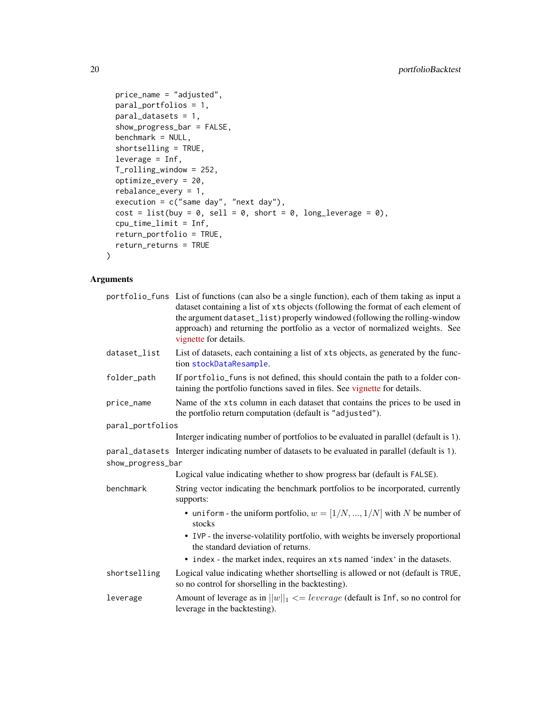```
price_name = "adjusted",
paral_portfolios = 1,
paral_datasets = 1,
show_progress_bar = FALSE,
benchmark = NULL,
shortselling = TRUE,
leverage = Inf,T_rolling_window = 252,
optimize_every = 20,
rebalance_every = 1,
execution = c("same day", "next day"),
cost = list(buy = 0, sell = 0, short = 0, long\_leverage = 0),cpu_time_limit = Inf,
return_portfolio = TRUE,
return_returns = TRUE
```
#### Arguments

 $\mathcal{L}$ 

|                   | portfolio_funs List of functions (can also be a single function), each of them taking as input a<br>dataset containing a list of xts objects (following the format of each element of<br>the argument dataset_list) properly windowed (following the rolling-window<br>approach) and returning the portfolio as a vector of normalized weights. See<br>vignette for details. |
|-------------------|------------------------------------------------------------------------------------------------------------------------------------------------------------------------------------------------------------------------------------------------------------------------------------------------------------------------------------------------------------------------------|
| dataset_list      | List of datasets, each containing a list of xts objects, as generated by the func-<br>tion stockDataResample.                                                                                                                                                                                                                                                                |
| folder_path       | If portfolio_funs is not defined, this should contain the path to a folder con-<br>taining the portfolio functions saved in files. See vignette for details.                                                                                                                                                                                                                 |
| price_name        | Name of the xts column in each dataset that contains the prices to be used in<br>the portfolio return computation (default is "adjusted").                                                                                                                                                                                                                                   |
| paral_portfolios  |                                                                                                                                                                                                                                                                                                                                                                              |
|                   | Interger indicating number of portfolios to be evaluated in parallel (default is 1).                                                                                                                                                                                                                                                                                         |
|                   | paral_datasets Interger indicating number of datasets to be evaluated in parallel (default is 1).                                                                                                                                                                                                                                                                            |
| show_progress_bar |                                                                                                                                                                                                                                                                                                                                                                              |
|                   | Logical value indicating whether to show progress bar (default is FALSE).                                                                                                                                                                                                                                                                                                    |
| benchmark         | String vector indicating the benchmark portfolios to be incorporated, currently<br>supports:                                                                                                                                                                                                                                                                                 |
|                   | • uniform - the uniform portfolio, $w = [1/N, , 1/N]$ with N be number of<br>stocks                                                                                                                                                                                                                                                                                          |
|                   | • IVP - the inverse-volatility portfolio, with weights be inversely proportional<br>the standard deviation of returns.                                                                                                                                                                                                                                                       |
|                   | • index - the market index, requires an xts named 'index' in the datasets.                                                                                                                                                                                                                                                                                                   |
| shortselling      | Logical value indicating whether shortselling is allowed or not (default is TRUE,<br>so no control for shorselling in the backtesting).                                                                                                                                                                                                                                      |
| leverage          | Amount of leverage as in $  w  _1 \leq$ <i>leverage</i> (default is Inf, so no control for<br>leverage in the backtesting).                                                                                                                                                                                                                                                  |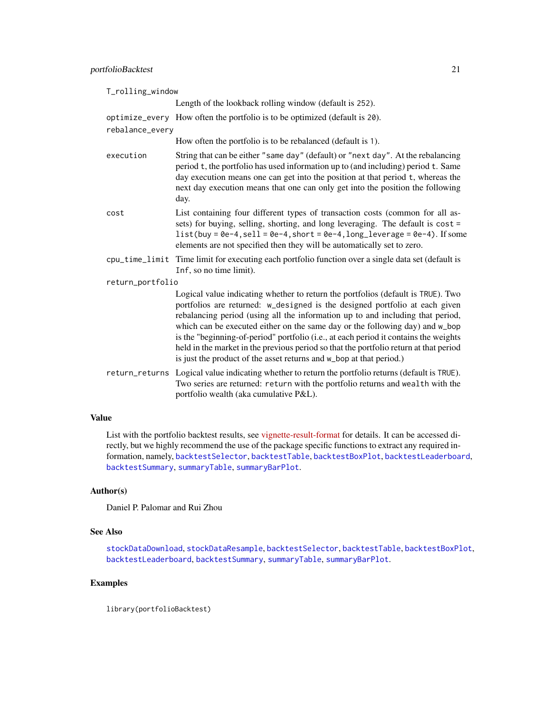<span id="page-20-0"></span>

| T_rolling_window |                                                                                                                                                                                                                                                                                                                                                                                                                                                                                                                                                                                           |
|------------------|-------------------------------------------------------------------------------------------------------------------------------------------------------------------------------------------------------------------------------------------------------------------------------------------------------------------------------------------------------------------------------------------------------------------------------------------------------------------------------------------------------------------------------------------------------------------------------------------|
|                  | Length of the lookback rolling window (default is 252).                                                                                                                                                                                                                                                                                                                                                                                                                                                                                                                                   |
|                  | optimize_every How often the portfolio is to be optimized (default is 20).                                                                                                                                                                                                                                                                                                                                                                                                                                                                                                                |
| rebalance_every  |                                                                                                                                                                                                                                                                                                                                                                                                                                                                                                                                                                                           |
|                  | How often the portfolio is to be rebalanced (default is 1).                                                                                                                                                                                                                                                                                                                                                                                                                                                                                                                               |
| execution        | String that can be either "same day" (default) or "next day". At the rebalancing<br>period t, the portfolio has used information up to (and including) period t. Same<br>day execution means one can get into the position at that period t, whereas the<br>next day execution means that one can only get into the position the following<br>day.                                                                                                                                                                                                                                        |
| cost             | List containing four different types of transaction costs (common for all as-<br>sets) for buying, selling, shorting, and long leveraging. The default is cost =<br>$list(buy = 0e-4, sell = 0e-4, short = 0e-4, long\_leverage = 0e-4)$ . If some<br>elements are not specified then they will be automatically set to zero.                                                                                                                                                                                                                                                             |
|                  | cpu_time_limit Time limit for executing each portfolio function over a single data set (default is<br>Inf, so no time limit).                                                                                                                                                                                                                                                                                                                                                                                                                                                             |
| return_portfolio |                                                                                                                                                                                                                                                                                                                                                                                                                                                                                                                                                                                           |
|                  | Logical value indicating whether to return the portfolios (default is TRUE). Two<br>portfolios are returned: w_designed is the designed portfolio at each given<br>rebalancing period (using all the information up to and including that period,<br>which can be executed either on the same day or the following day) and w_bop<br>is the "beginning-of-period" portfolio (i.e., at each period it contains the weights<br>held in the market in the previous period so that the portfolio return at that period<br>is just the product of the asset returns and w_bop at that period.) |
|                  | return_returns Logical value indicating whether to return the portfolio returns (default is TRUE).<br>Two series are returned: return with the portfolio returns and wealth with the<br>portfolio wealth (aka cumulative P&L).                                                                                                                                                                                                                                                                                                                                                            |

## Value

List with the portfolio backtest results, see [vignette-result-format](https://CRAN.R-project.org/package=portfolioBacktest/vignettes/PortfolioBacktest.html#result-format) for details. It can be accessed directly, but we highly recommend the use of the package specific functions to extract any required information, namely, [backtestSelector](#page-10-1), [backtestTable](#page-13-1), [backtestBoxPlot](#page-3-1), [backtestLeaderboard](#page-9-1), [backtestSummary](#page-12-1), [summaryTable](#page-25-1), [summaryBarPlot](#page-24-1).

## Author(s)

Daniel P. Palomar and Rui Zhou

## See Also

[stockDataDownload](#page-22-1), [stockDataResample](#page-23-1), [backtestSelector](#page-10-1), [backtestTable](#page-13-1), [backtestBoxPlot](#page-3-1), [backtestLeaderboard](#page-9-1), [backtestSummary](#page-12-1), [summaryTable](#page-25-1), [summaryBarPlot](#page-24-1).

## Examples

library(portfolioBacktest)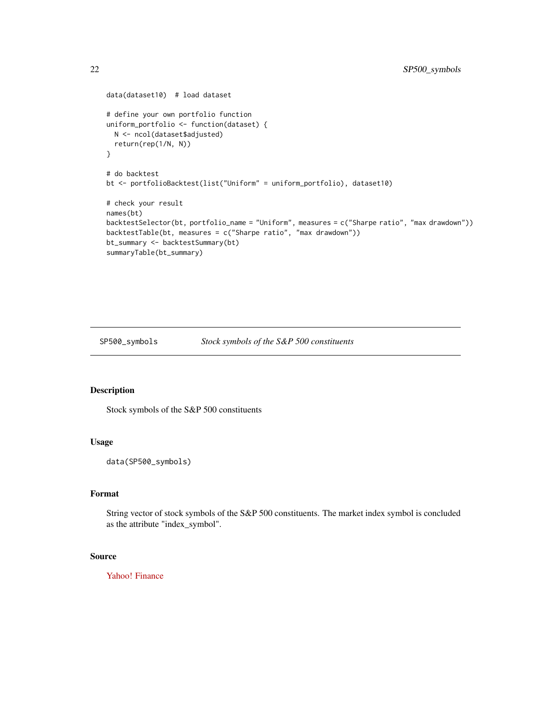```
data(dataset10) # load dataset
# define your own portfolio function
uniform_portfolio <- function(dataset) {
  N <- ncol(dataset$adjusted)
  return(rep(1/N, N))
}
# do backtest
bt <- portfolioBacktest(list("Uniform" = uniform_portfolio), dataset10)
# check your result
names(bt)
backtestSelector(bt, portfolio_name = "Uniform", measures = c("Sharpe ratio", "max drawdown"))
backtestTable(bt, measures = c("Sharpe ratio", "max drawdown"))
bt_summary <- backtestSummary(bt)
summaryTable(bt_summary)
```
<span id="page-21-1"></span>SP500\_symbols *Stock symbols of the S&P 500 constituents*

## Description

Stock symbols of the S&P 500 constituents

## Usage

data(SP500\_symbols)

## Format

String vector of stock symbols of the S&P 500 constituents. The market index symbol is concluded as the attribute "index\_symbol".

## Source

[Yahoo! Finance](https://finance.yahoo.com)

<span id="page-21-0"></span>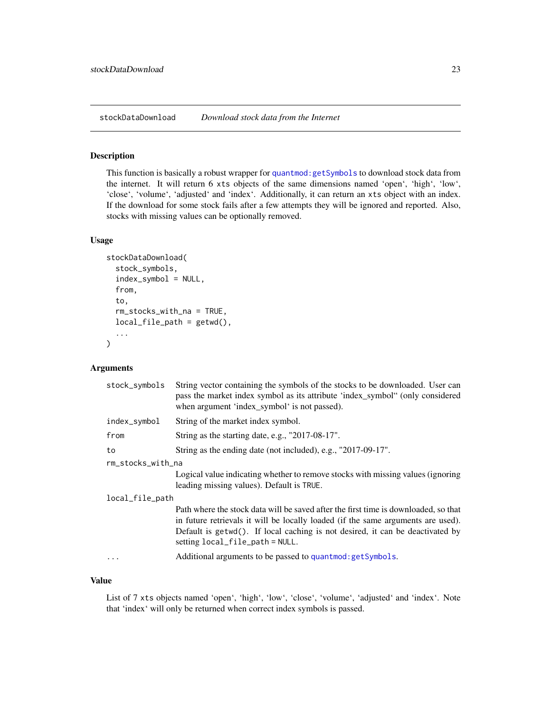<span id="page-22-1"></span><span id="page-22-0"></span>stockDataDownload *Download stock data from the Internet*

#### Description

This function is basically a robust wrapper for [quantmod:getSymbols](#page-0-0) to download stock data from the internet. It will return 6 xts objects of the same dimensions named 'open', 'high', 'low', 'close', 'volume', 'adjusted' and 'index'. Additionally, it can return an xts object with an index. If the download for some stock fails after a few attempts they will be ignored and reported. Also, stocks with missing values can be optionally removed.

#### Usage

```
stockDataDownload(
  stock_symbols,
  index_symbol = NULL,
  from,
  to,
  rm_stocks_with_na = TRUE,
  local_file_path = getwd(),...
)
```
#### Arguments

| stock_symbols     | String vector containing the symbols of the stocks to be downloaded. User can<br>pass the market index symbol as its attribute 'index_symbol" (only considered<br>when argument 'index_symbol' is not passed).                                                                              |
|-------------------|---------------------------------------------------------------------------------------------------------------------------------------------------------------------------------------------------------------------------------------------------------------------------------------------|
| index_symbol      | String of the market index symbol.                                                                                                                                                                                                                                                          |
| from              | String as the starting date, e.g., "2017-08-17".                                                                                                                                                                                                                                            |
| to                | String as the ending date (not included), e.g., "2017-09-17".                                                                                                                                                                                                                               |
| rm_stocks_with_na |                                                                                                                                                                                                                                                                                             |
|                   | Logical value indicating whether to remove stocks with missing values (ignoring<br>leading missing values). Default is TRUE.                                                                                                                                                                |
| local_file_path   |                                                                                                                                                                                                                                                                                             |
|                   | Path where the stock data will be saved after the first time is downloaded, so that<br>in future retrievals it will be locally loaded (if the same arguments are used).<br>Default is getwd(). If local caching is not desired, it can be deactivated by<br>setting local_file_path = NULL. |
| $\cdots$          | Additional arguments to be passed to quantmod: getSymbols.                                                                                                                                                                                                                                  |

#### Value

List of 7 xts objects named 'open', 'high', 'low', 'close', 'volume', 'adjusted' and 'index'. Note that 'index' will only be returned when correct index symbols is passed.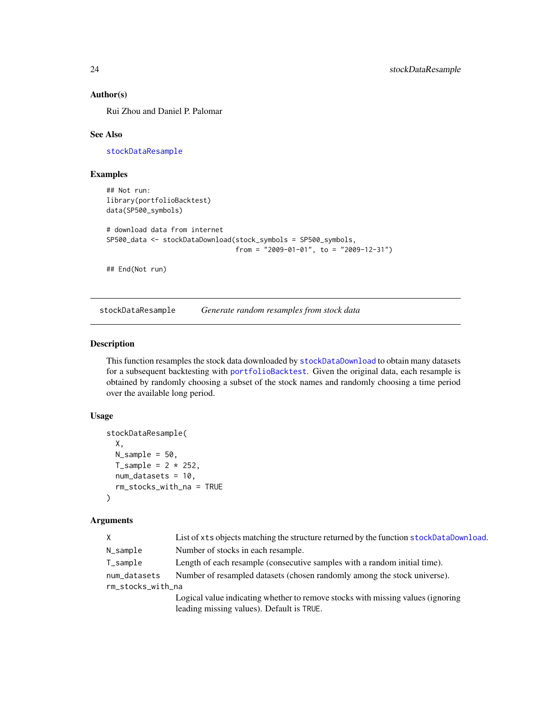#### Author(s)

Rui Zhou and Daniel P. Palomar

#### See Also

[stockDataResample](#page-23-1)

## Examples

```
## Not run:
library(portfolioBacktest)
data(SP500_symbols)
```

```
# download data from internet
SP500_data <- stockDataDownload(stock_symbols = SP500_symbols,
                                from = "2009-01-01", to = "2009-12-31")
```
## End(Not run)

<span id="page-23-1"></span>stockDataResample *Generate random resamples from stock data*

#### Description

This function resamples the stock data downloaded by [stockDataDownload](#page-22-1) to obtain many datasets for a subsequent backtesting with [portfolioBacktest](#page-18-1). Given the original data, each resample is obtained by randomly choosing a subset of the stock names and randomly choosing a time period over the available long period.

## Usage

```
stockDataResample(
 X,
 N_sample = 50,
 T_ssample = 2 * 252,
 num_datasets = 10,
  rm_stocks_with_na = TRUE
)
```
## Arguments

| X.                | List of xts objects matching the structure returned by the function stockDataDownload. |
|-------------------|----------------------------------------------------------------------------------------|
| N_sample          | Number of stocks in each resample.                                                     |
| $T$ _sample       | Length of each resample (consecutive samples with a random initial time).              |
| num_datasets      | Number of resampled datasets (chosen randomly among the stock universe).               |
| rm_stocks_with_na |                                                                                        |
|                   | Logical value indicating whether to remove stocks with missing values (ignoring        |
|                   | leading missing values). Default is TRUE.                                              |

<span id="page-23-0"></span>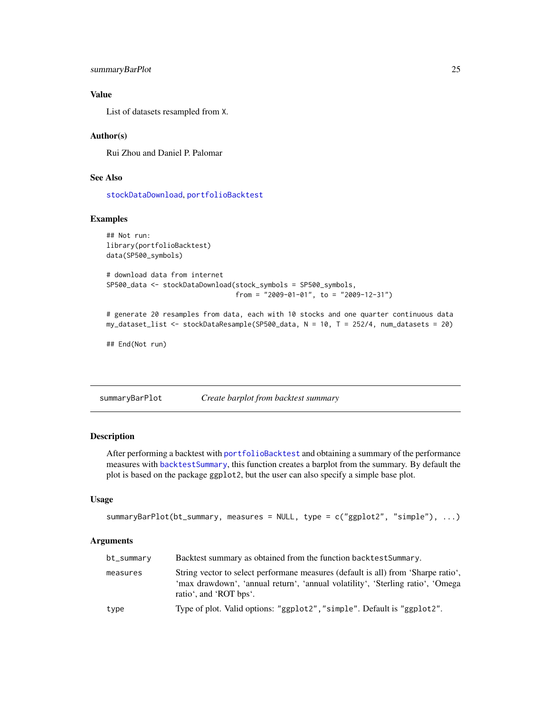```
summaryBarPlot 25
```
## Value

List of datasets resampled from X.

#### Author(s)

Rui Zhou and Daniel P. Palomar

## See Also

[stockDataDownload](#page-22-1), [portfolioBacktest](#page-18-1)

## Examples

```
## Not run:
library(portfolioBacktest)
data(SP500_symbols)
# download data from internet
SP500_data <- stockDataDownload(stock_symbols = SP500_symbols,
                                from = "2009-01-01", to = "2009-12-31")
# generate 20 resamples from data, each with 10 stocks and one quarter continuous data
my_dataset_list <- stockDataResample(SP500_data, N = 10, T = 252/4, num_datasets = 20)
```
## End(Not run)

<span id="page-24-1"></span>summaryBarPlot *Create barplot from backtest summary*

#### Description

After performing a backtest with [portfolioBacktest](#page-18-1) and obtaining a summary of the performance measures with [backtestSummary](#page-12-1), this function creates a barplot from the summary. By default the plot is based on the package ggplot2, but the user can also specify a simple base plot.

## Usage

```
summaryBarPlot(bt_summary, measures = NULL, type = c("ggplot2", "simple"), ...)
```
#### Arguments

| bt_summary | Backtest summary as obtained from the function backtest Summary.                                                                                                                              |
|------------|-----------------------------------------------------------------------------------------------------------------------------------------------------------------------------------------------|
| measures   | String vector to select performane measures (default is all) from 'Sharpe ratio',<br>'max drawdown', 'annual return', 'annual volatility', 'Sterling ratio', 'Omega<br>ratio', and 'ROT bps'. |
| type       | Type of plot. Valid options: "ggplot2", "simple". Default is "ggplot2".                                                                                                                       |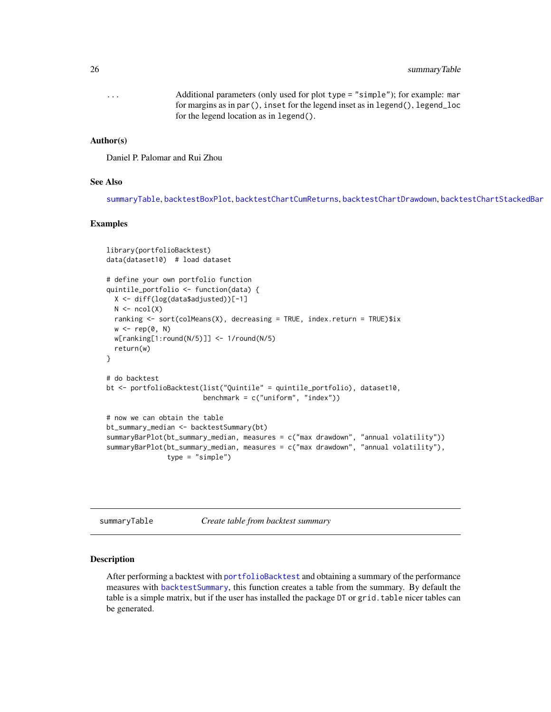## <span id="page-25-0"></span>26 summaryTable 3.20 summaryTable 3.20 summaryTable 3.20 summaryTable 3.20 summaryTable

... Additional parameters (only used for plot type = "simple"); for example: mar for margins as in par(), inset for the legend inset as in legend(), legend\_loc for the legend location as in legend().

#### Author(s)

Daniel P. Palomar and Rui Zhou

## See Also

[summaryTable](#page-25-1), [backtestBoxPlot](#page-3-1), [backtestChartCumReturns](#page-5-1), [backtestChartDrawdown](#page-6-1), [backtestChartStackedBar](#page-7-1)

#### Examples

```
library(portfolioBacktest)
data(dataset10) # load dataset
# define your own portfolio function
quintile_portfolio <- function(data) {
 X <- diff(log(data$adjusted))[-1]
 N \leftarrow \text{ncol}(X)ranking <- sort(colMeans(X), decreasing = TRUE, index.return = TRUE)$ix
 w \leftarrow rep(0, N)w[ranking[1:round(N/5)]] <- 1/round(N/5)
 return(w)
}
# do backtest
bt <- portfolioBacktest(list("Quintile" = quintile_portfolio), dataset10,
                        benchmark = c("uniform", "index"))
# now we can obtain the table
bt_summary_median <- backtestSummary(bt)
summaryBarPlot(bt_summary_median, measures = c("max drawdown", "annual volatility"))
summaryBarPlot(bt_summary_median, measures = c("max drawdown", "annual volatility"),
               type = "simple")
```
<span id="page-25-1"></span>summaryTable *Create table from backtest summary*

#### Description

After performing a backtest with [portfolioBacktest](#page-18-1) and obtaining a summary of the performance measures with [backtestSummary](#page-12-1), this function creates a table from the summary. By default the table is a simple matrix, but if the user has installed the package DT or grid. table nicer tables can be generated.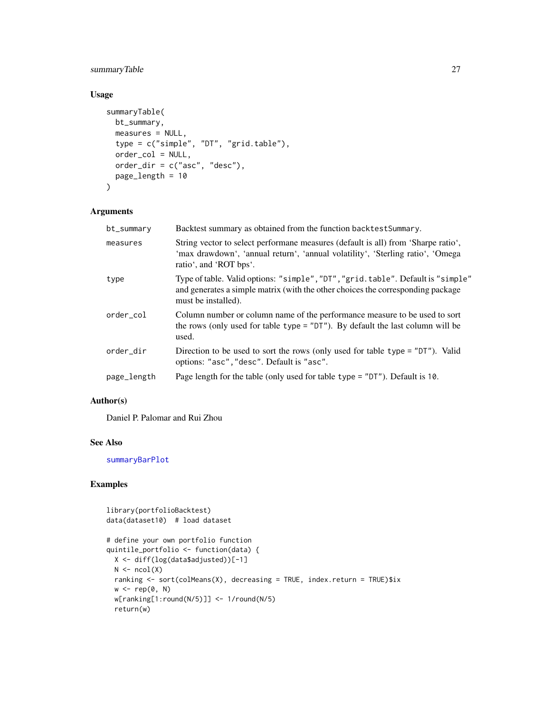## <span id="page-26-0"></span>summaryTable 27

## Usage

```
summaryTable(
 bt_summary,
 measures = NULL,
 type = c("simple", "DT", "grid.table"),
 order_col = NULL,
 order_dir = c("asc", "desc"),
 page_length = 10
\mathcal{L}
```
#### Arguments

| bt_summary  | Backtest summary as obtained from the function backtest Summary.                                                                                                                              |
|-------------|-----------------------------------------------------------------------------------------------------------------------------------------------------------------------------------------------|
| measures    | String vector to select performane measures (default is all) from 'Sharpe ratio',<br>'max drawdown', 'annual return', 'annual volatility', 'Sterling ratio', 'Omega<br>ratio', and 'ROT bps'. |
| type        | Type of table. Valid options: "simple", "DT", "grid. table". Default is "simple"<br>and generates a simple matrix (with the other choices the corresponding package<br>must be installed).    |
| order_col   | Column number or column name of the performance measure to be used to sort<br>the rows (only used for table type = $"DT"$ ). By default the last column will be<br>used.                      |
| order_dir   | Direction to be used to sort the rows (only used for table type = "DT"). Valid<br>options: "asc", "desc". Default is "asc".                                                                   |
| page_length | Page length for the table (only used for table type $=$ "DT"). Default is 10.                                                                                                                 |
|             |                                                                                                                                                                                               |

## Author(s)

Daniel P. Palomar and Rui Zhou

## See Also

[summaryBarPlot](#page-24-1)

```
library(portfolioBacktest)
data(dataset10) # load dataset
# define your own portfolio function
quintile_portfolio <- function(data) {
  X <- diff(log(data$adjusted))[-1]
  N \leftarrow \text{ncol}(X)ranking <- sort(colMeans(X), decreasing = TRUE, index.return = TRUE)$ix
  w < -\text{rep}(\emptyset, N)w[ranking[1:round(N/5)]] <- 1/round(N/5)
  return(w)
```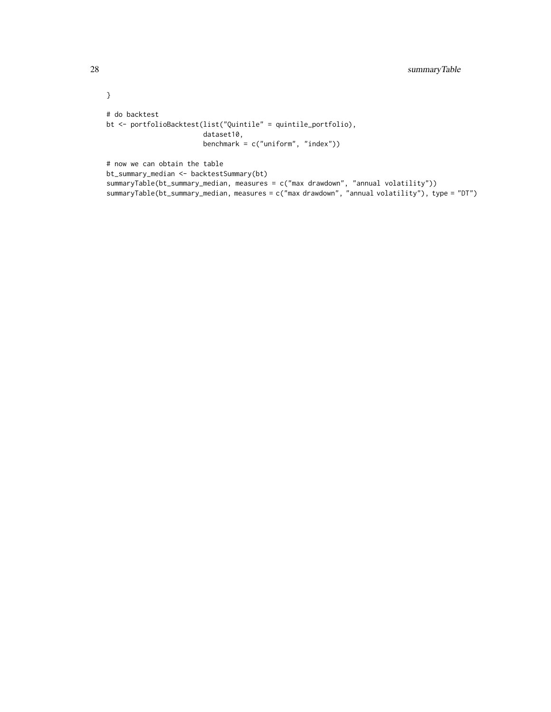```
}
# do backtest
bt <- portfolioBacktest(list("Quintile" = quintile_portfolio),
                        dataset10,
                        benchmark = c("uniform", "index")# now we can obtain the table
bt_summary_median <- backtestSummary(bt)
summaryTable(bt_summary_median, measures = c("max drawdown", "annual volatility"))
summaryTable(bt_summary_median, measures = c("max drawdown", "annual volatility"), type = "DT")
```